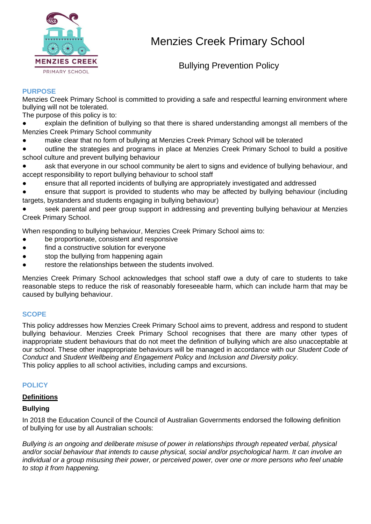

Bullying Prevention Policy

### **PURPOSE**

Menzies Creek Primary School is committed to providing a safe and respectful learning environment where bullying will not be tolerated.

The purpose of this policy is to:

- explain the definition of bullying so that there is shared understanding amongst all members of the Menzies Creek Primary School community
- make clear that no form of bullying at Menzies Creek Primary School will be tolerated
- outline the strategies and programs in place at Menzies Creek Primary School to build a positive school culture and prevent bullying behaviour
- ask that everyone in our school community be alert to signs and evidence of bullying behaviour, and accept responsibility to report bullying behaviour to school staff
- ensure that all reported incidents of bullying are appropriately investigated and addressed
- ensure that support is provided to students who may be affected by bullying behaviour (including targets, bystanders and students engaging in bullying behaviour)

seek parental and peer group support in addressing and preventing bullying behaviour at Menzies Creek Primary School.

When responding to bullying behaviour, Menzies Creek Primary School aims to:

- be proportionate, consistent and responsive
- find a constructive solution for everyone
- stop the bullying from happening again
- restore the relationships between the students involved.

Menzies Creek Primary School acknowledges that school staff owe a duty of care to students to take reasonable steps to reduce the risk of reasonably foreseeable harm, which can include harm that may be caused by bullying behaviour.

### **SCOPE**

This policy addresses how Menzies Creek Primary School aims to prevent, address and respond to student bullying behaviour. Menzies Creek Primary School recognises that there are many other types of inappropriate student behaviours that do not meet the definition of bullying which are also unacceptable at our school. These other inappropriate behaviours will be managed in accordance with our *Student Code of Conduct* and *Student Wellbeing and Engagement Policy* and *Inclusion and Diversity policy*. This policy applies to all school activities, including camps and excursions.

### **POLICY**

### **Definitions**

### **Bullying**

In 2018 the Education Council of the Council of Australian Governments endorsed the following definition of bullying for use by all Australian schools:

*Bullying is an ongoing and deliberate misuse of power in relationships through repeated verbal, physical and/or social behaviour that intends to cause physical, social and/or psychological harm. It can involve an individual or a group misusing their power, or perceived power, over one or more persons who feel unable to stop it from happening.*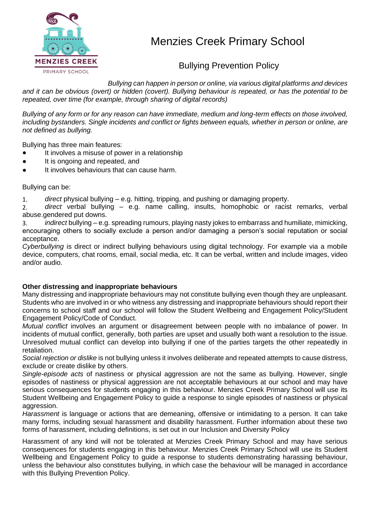

Bullying Prevention Policy

*Bullying can happen in person or online, via various digital platforms and devices and it can be obvious (overt) or hidden (covert). Bullying behaviour is repeated, or has the potential to be repeated, over time (for example, through sharing of digital records)*

*Bullying of any form or for any reason can have immediate, medium and long-term effects on those involved, including bystanders. Single incidents and conflict or fights between equals, whether in person or online, are not defined as bullying.* 

Bullying has three main features:

- It involves a misuse of power in a relationship
- It is ongoing and repeated, and
- It involves behaviours that can cause harm.

Bullying can be:

1. *direct* physical bullying – e.g. hitting, tripping, and pushing or damaging property.

2. *direct* verbal bullying – e.g. name calling, insults, homophobic or racist remarks, verbal abuse.gendered put downs.

3. *indirect* bullying – e.g. spreading rumours, playing nasty jokes to embarrass and humiliate, mimicking, encouraging others to socially exclude a person and/or damaging a person's social reputation or social acceptance.

*Cyberbullying* is direct or indirect bullying behaviours using digital technology. For example via a mobile device, computers, chat rooms, email, social media, etc. It can be verbal, written and include images, video and/or audio.

### **Other distressing and inappropriate behaviours**

Many distressing and inappropriate behaviours may not constitute bullying even though they are unpleasant. Students who are involved in or who witness any distressing and inappropriate behaviours should report their concerns to school staff and our school will follow the Student Wellbeing and Engagement Policy/Student Engagement Policy/Code of Conduct.

*Mutual conflict* involves an argument or disagreement between people with no imbalance of power. In incidents of mutual conflict, generally, both parties are upset and usually both want a resolution to the issue. Unresolved mutual conflict can develop into bullying if one of the parties targets the other repeatedly in retaliation.

*Social rejection or dislike* is not bullying unless it involves deliberate and repeated attempts to cause distress, exclude or create dislike by others.

*Single-episode acts* of nastiness or physical aggression are not the same as bullying. However, single episodes of nastiness or physical aggression are not acceptable behaviours at our school and may have serious consequences for students engaging in this behaviour. Menzies Creek Primary School will use its Student Wellbeing and Engagement Policy to guide a response to single episodes of nastiness or physical aggression.

*Harassment* is language or actions that are demeaning, offensive or intimidating to a person. It can take many forms, including sexual harassment and disability harassment. Further information about these two forms of harassment, including definitions, is set out in our Inclusion and Diversity Policy

Harassment of any kind will not be tolerated at Menzies Creek Primary School and may have serious consequences for students engaging in this behaviour. Menzies Creek Primary School will use its Student Wellbeing and Engagement Policy to guide a response to students demonstrating harassing behaviour, unless the behaviour also constitutes bullying, in which case the behaviour will be managed in accordance with this Bullying Prevention Policy.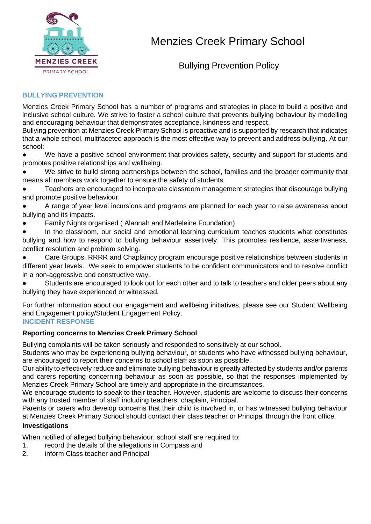

Bullying Prevention Policy

### **BULLYING PREVENTION**

Menzies Creek Primary School has a number of programs and strategies in place to build a positive and inclusive school culture. We strive to foster a school culture that prevents bullying behaviour by modelling and encouraging behaviour that demonstrates acceptance, kindness and respect.

Bullying prevention at Menzies Creek Primary School is proactive and is supported by research that indicates that a whole school, multifaceted approach is the most effective way to prevent and address bullying. At our school:

We have a positive school environment that provides safety, security and support for students and promotes positive relationships and wellbeing.

We strive to build strong partnerships between the school, families and the broader community that means all members work together to ensure the safety of students.

- Teachers are encouraged to incorporate classroom management strategies that discourage bullying and promote positive behaviour.
- A range of year level incursions and programs are planned for each year to raise awareness about bullying and its impacts.
- Family Nights organised ( Alannah and Madeleine Foundation)
- In the classroom, our social and emotional learning curriculum teaches students what constitutes bullying and how to respond to bullying behaviour assertively. This promotes resilience, assertiveness, conflict resolution and problem solving.
- Care Groups, RRRR and Chaplaincy program encourage positive relationships between students in different year levels. We seek to empower students to be confident communicators and to resolve conflict in a non-aggressive and constructive way.
- Students are encouraged to look out for each other and to talk to teachers and older peers about any bullying they have experienced or witnessed.

For further information about our engagement and wellbeing initiatives, please see our Student Wellbeing and Engagement policy/Student Engagement Policy. **INCIDENT RESPONSE**

### **Reporting concerns to Menzies Creek Primary School**

Bullying complaints will be taken seriously and responded to sensitively at our school.

Students who may be experiencing bullying behaviour, or students who have witnessed bullying behaviour, are encouraged to report their concerns to school staff as soon as possible.

Our ability to effectively reduce and eliminate bullying behaviour is greatly affected by students and/or parents and carers reporting concerning behaviour as soon as possible, so that the responses implemented by Menzies Creek Primary School are timely and appropriate in the circumstances.

We encourage students to speak to their teacher. However, students are welcome to discuss their concerns with any trusted member of staff including teachers, chaplain, Principal.

Parents or carers who develop concerns that their child is involved in, or has witnessed bullying behaviour at Menzies Creek Primary School should contact their class teacher or Principal through the front office.

### **Investigations**

When notified of alleged bullying behaviour, school staff are required to:

- 1. record the details of the allegations in Compass and
- 2. inform Class teacher and Principal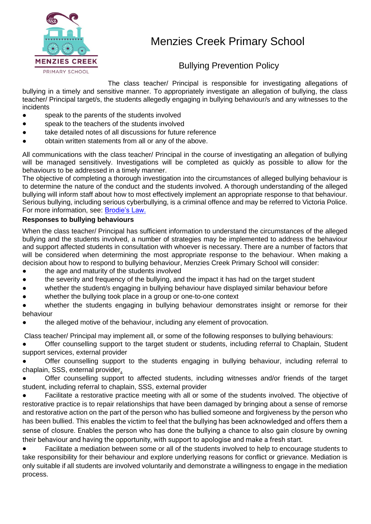

## Bullying Prevention Policy

The class teacher/ Principal is responsible for investigating allegations of bullying in a timely and sensitive manner. To appropriately investigate an allegation of bullying, the class teacher/ Principal target/s, the students allegedly engaging in bullying behaviour/s and any witnesses to the incidents

- speak to the parents of the students involved
- speak to the teachers of the students involved
- take detailed notes of all discussions for future reference
- obtain written statements from all or any of the above.

All communications with the class teacher/ Principal in the course of investigating an allegation of bullying will be managed sensitively. Investigations will be completed as quickly as possible to allow for the behaviours to be addressed in a timely manner.

The objective of completing a thorough investigation into the circumstances of alleged bullying behaviour is to determine the nature of the conduct and the students involved. A thorough understanding of the alleged bullying will inform staff about how to most effectively implement an appropriate response to that behaviour. Serious bullying, including serious cyberbullying, is a criminal offence and may be referred to Victoria Police. For more information, see: [Brodie's Law.](http://www.education.vic.gov.au/about/programs/bullystoppers/Pages/advicesheetbrodieslaw.aspx)

### **Responses to bullying behaviours**

When the class teacher/ Principal has sufficient information to understand the circumstances of the alleged bullying and the students involved, a number of strategies may be implemented to address the behaviour and support affected students in consultation with whoever is necessary. There are a number of factors that will be considered when determining the most appropriate response to the behaviour. When making a decision about how to respond to bullying behaviour, Menzies Creek Primary School will consider:

- the age and maturity of the students involved
- the severity and frequency of the bullying, and the impact it has had on the target student
- whether the student/s engaging in bullying behaviour have displayed similar behaviour before
- whether the bullying took place in a group or one-to-one context
- whether the students engaging in bullying behaviour demonstrates insight or remorse for their behaviour
- the alleged motive of the behaviour, including any element of provocation.

Class teacher/ Principal may implement all, or some of the following responses to bullying behaviours:

Offer counselling support to the target student or students, including referral to Chaplain, Student support services, external provider

Offer counselling support to the students engaging in bullying behaviour, including referral to chaplain, SSS, external provider.

Offer counselling support to affected students, including witnesses and/or friends of the target student, including referral to chaplain, SSS, external provider

Facilitate a restorative practice meeting with all or some of the students involved. The objective of restorative practice is to repair relationships that have been damaged by bringing about a sense of remorse and restorative action on the part of the person who has bullied someone and forgiveness by the person who has been bullied. This enables the victim to feel that the bullying has been acknowledged and offers them a sense of closure. Enables the person who has done the bullying a chance to also gain closure by owning their behaviour and having the opportunity, with support to apologise and make a fresh start.

Facilitate a mediation between some or all of the students involved to help to encourage students to take responsibility for their behaviour and explore underlying reasons for conflict or grievance. Mediation is only suitable if all students are involved voluntarily and demonstrate a willingness to engage in the mediation process.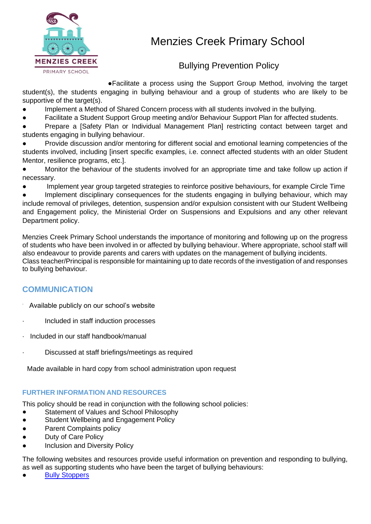

## Bullying Prevention Policy

●Facilitate a process using the Support Group Method, involving the target student(s), the students engaging in bullying behaviour and a group of students who are likely to be supportive of the target(s).

- Implement a Method of Shared Concern process with all students involved in the bullying.
- Facilitate a Student Support Group meeting and/or Behaviour Support Plan for affected students.
- Prepare a [Safety Plan or Individual Management Plan] restricting contact between target and students engaging in bullying behaviour.
- Provide discussion and/or mentoring for different social and emotional learning competencies of the students involved, including [insert specific examples, i.e. connect affected students with an older Student Mentor, resilience programs, etc.].
- Monitor the behaviour of the students involved for an appropriate time and take follow up action if necessary.
- Implement year group targeted strategies to reinforce positive behaviours, for example Circle Time

Implement disciplinary consequences for the students engaging in bullying behaviour, which may include removal of privileges, detention, suspension and/or expulsion consistent with our Student Wellbeing and Engagement policy, the Ministerial Order on Suspensions and Expulsions and any other relevant Department policy.

Menzies Creek Primary School understands the importance of monitoring and following up on the progress of students who have been involved in or affected by bullying behaviour. Where appropriate, school staff will also endeavour to provide parents and carers with updates on the management of bullying incidents. Class teacher/Principal is responsible for maintaining up to date records of the investigation of and responses to bullying behaviour.

### **COMMUNICATION**

- · Available publicly on our school's website
- · Included in staff induction processes
- · Included in our staff handbook/manual
- · Discussed at staff briefings/meetings as required

Made available in hard copy from school administration upon request

### **FURTHER INFORMATION AND RESOURCES**

This policy should be read in conjunction with the following school policies:

- Statement of Values and School Philosophy
- Student Wellbeing and Engagement Policy
- Parent Complaints policy
- **Duty of Care Policy**
- Inclusion and Diversity Policy

The following websites and resources provide useful information on prevention and responding to bullying, as well as supporting students who have been the target of bullying behaviours:

**[Bully Stoppers](https://bullyingnoway.gov.au/PreventingBullying/Planning/Pages/School-policy.aspx)**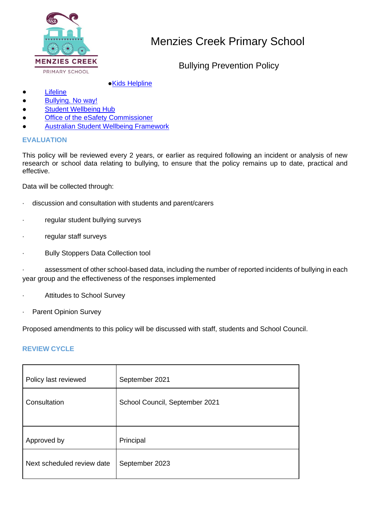

Bullying Prevention Policy

### ●**[Kids Helpline](https://kidshelpline.com.au/)**

- [Lifeline](https://www.lifeline.org.au/)
- [Bullying. No way!](https://bullyingnoway.gov.au/PreventingBullying/Planning/Pages/School-policy.aspx)
- [Student Wellbeing Hub](https://www.studentwellbeinghub.edu.au/)
- Office of the eSafety Commissioner
- **[Australian Student Wellbeing Framework](https://www.studentwellbeinghub.edu.au/resources/detail?id=dd6b5222-d5c5-6d32-997d-ff0000a69c30#/)**

### **EVALUATION**

This policy will be reviewed every 2 years, or earlier as required following an incident or analysis of new research or school data relating to bullying, to ensure that the policy remains up to date, practical and effective.

Data will be collected through:

- · discussion and consultation with students and parent/carers
- · regular student bullying surveys
- · regular staff surveys
- · Bully Stoppers Data Collection tool

· assessment of other school-based data, including the number of reported incidents of bullying in each year group and the effectiveness of the responses implemented

- · Attitudes to School Survey
- · Parent Opinion Survey

Proposed amendments to this policy will be discussed with staff, students and School Council.

### **REVIEW CYCLE**

| Policy last reviewed       | September 2021                 |
|----------------------------|--------------------------------|
| Consultation               | School Council, September 2021 |
|                            |                                |
| Approved by                | Principal                      |
| Next scheduled review date | September 2023                 |